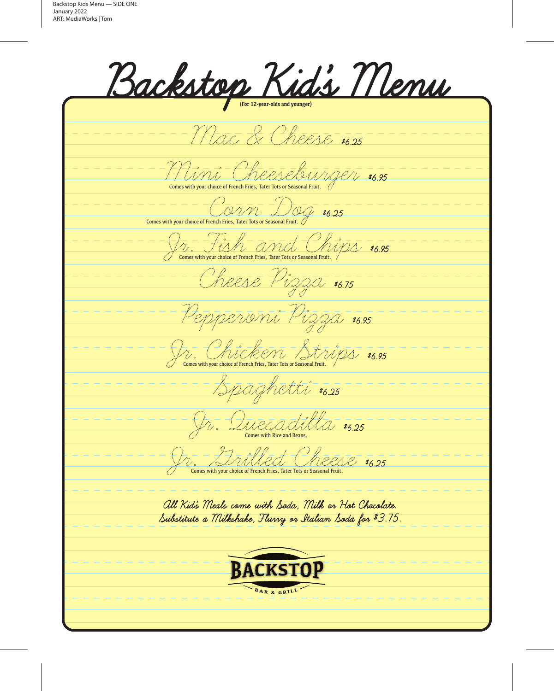<u>Backstop Kids Menu</u> Mac & Cheese \$6.25 Mini Cheeseburger \$6.95  $\frac{1}{\sqrt{C}}$  Comes with your choice of French Fries, Tater Tots or Seasonal Fruit.  $\sqrt{\frac{1}{\sqrt{1-\frac{1}{1-\frac{1}{1-\frac{1}{1-\frac{1}{1-\frac{1}{1-\frac{1}{1-\frac{1}{1-\frac{1}{1-\frac{1}{1-\frac{1}{1-\frac{1}{1-\frac{1}{1-\frac{1}{1-\frac{1}{1-\frac{1}{1-\frac{1}{1-\frac{1}{1-\frac{1}{1-\frac{1}{1-\frac{1}{1-\frac{1}{1-\frac{1}{1-\frac{1}{1-\frac{1}{1-\frac{1}{1-\frac{1}{1-\frac{1}{1-\frac{1}{1-\frac{1}{1-\frac{1}{1-\frac{1}{1-\frac{1}{1-\frac{1}{1-\frac{1}{1-\frac{1}{$ Comes with your choice of French Fries, Tater Tots or Seasonal Fruit. Cheese Pizza \$6.75 Pepperoni Pizza \$6.95 Jr. Child Ken Strips \$6.95 Comes with your choice of French Fries, Tater Tots or Seasonal Fruit. Spaghetti \$6.25 Fr. Duesadilla \$6.25 Comes with Rice and Beans. Jr. Grilled Cheese \$6.25 Comes with your choice of French Fries, Tater Tots or Seasonal Fruit.All Kid's Meals come with Soda, Milk or Hot Chocolate. Substitute a Milkshake, Flurry or Italian Soda for \$3.75. **BACKSTOP** BAR & GRILL